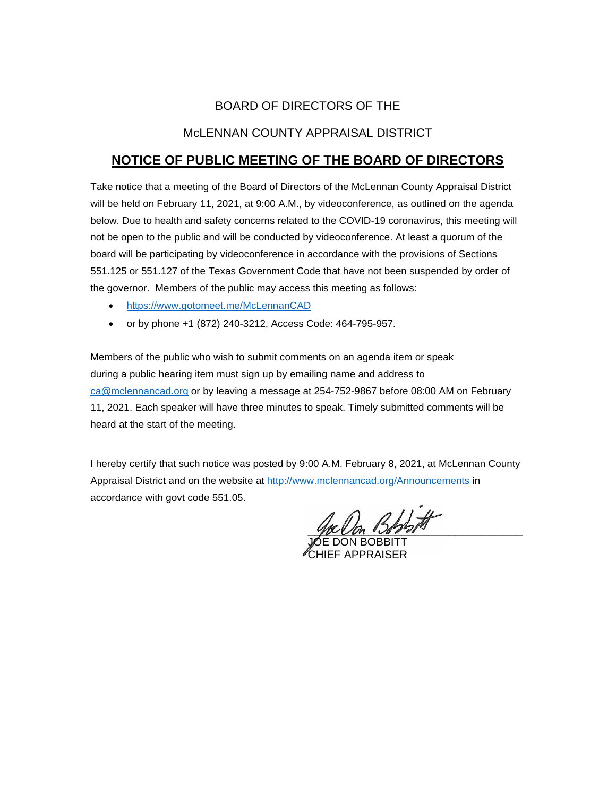# BOARD OF DIRECTORS OF THE

## McLENNAN COUNTY APPRAISAL DISTRICT

# **NOTICE OF PUBLIC MEETING OF THE BOARD OF DIRECTORS**

Take notice that a meeting of the Board of Directors of the McLennan County Appraisal District will be held on February 11, 2021, at 9:00 A.M., by videoconference, as outlined on the agenda below. Due to health and safety concerns related to the COVID-19 coronavirus, this meeting will not be open to the public and will be conducted by videoconference. At least a quorum of the board will be participating by videoconference in accordance with the provisions of Sections 551.125 or 551.127 of the Texas Government Code that have not been suspended by order of the governor. Members of the public may access this meeting as follows:

- <https://www.gotomeet.me/McLennanCAD>
- or by phone +1 (872) 240-3212, Access Code: 464-795-957.

Members of the public who wish to submit comments on an agenda item or speak during a public hearing item must sign up by emailing name and address to [ca@mclennancad.org](mailto:ca@mclennancad.org) or by leaving a message at 254-752-9867 before 08:00 AM on February 11, 2021. Each speaker will have three minutes to speak. Timely submitted comments will be heard at the start of the meeting.

I hereby certify that such notice was posted by 9:00 A.M. February 8, 2021, at McLennan County Appraisal District and on the website at [http://www.mclennancad.org/Announcements](http://www.mclennancad.org/index.php/Announcements) in accordance with govt code 551.05.

 $3$ 

JOE DON BOBBITT CHIEF APPRAISER